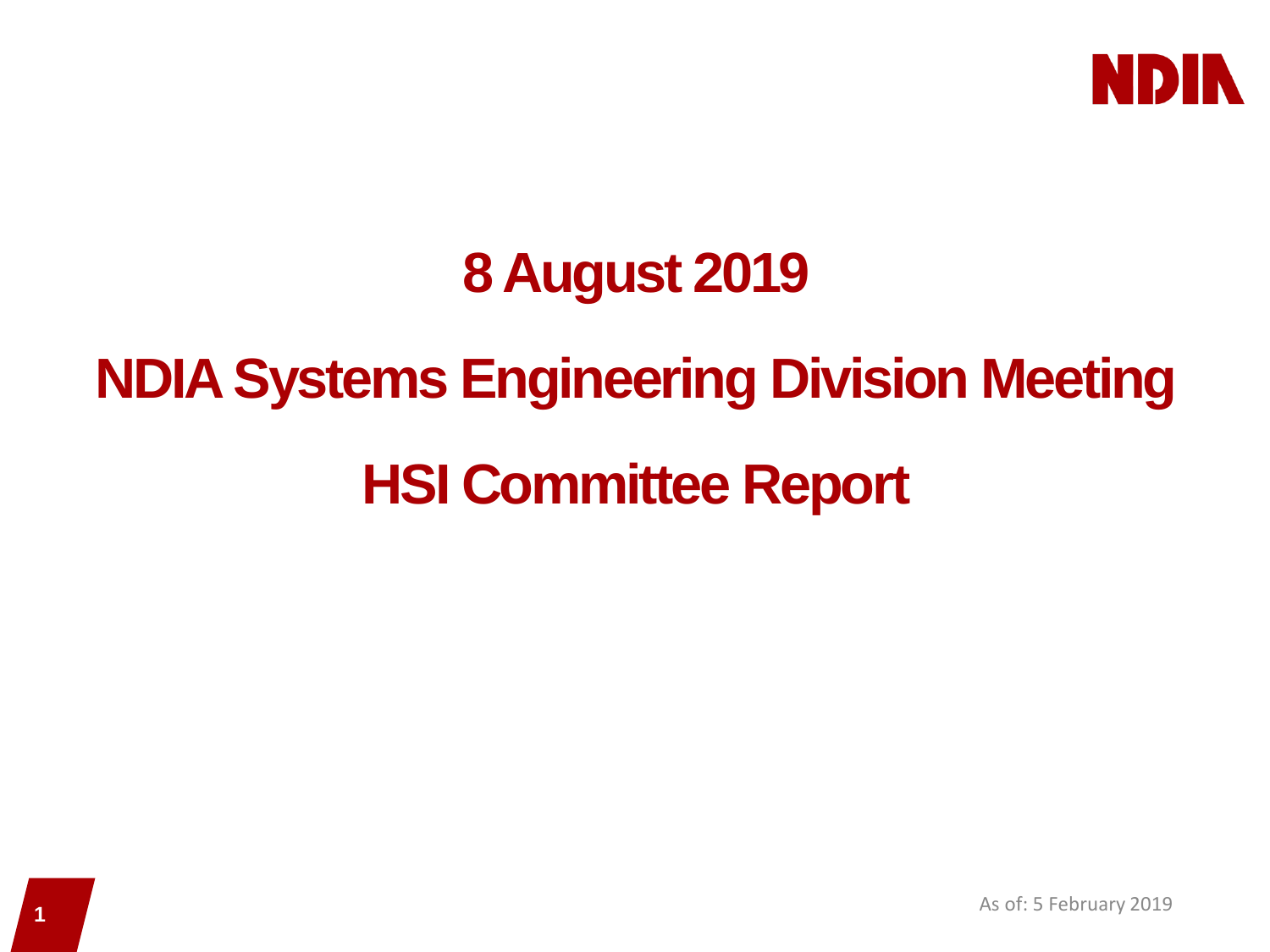

#### **8 August 2019**

### **NDIA Systems Engineering Division Meeting**

#### **HSI Committee Report**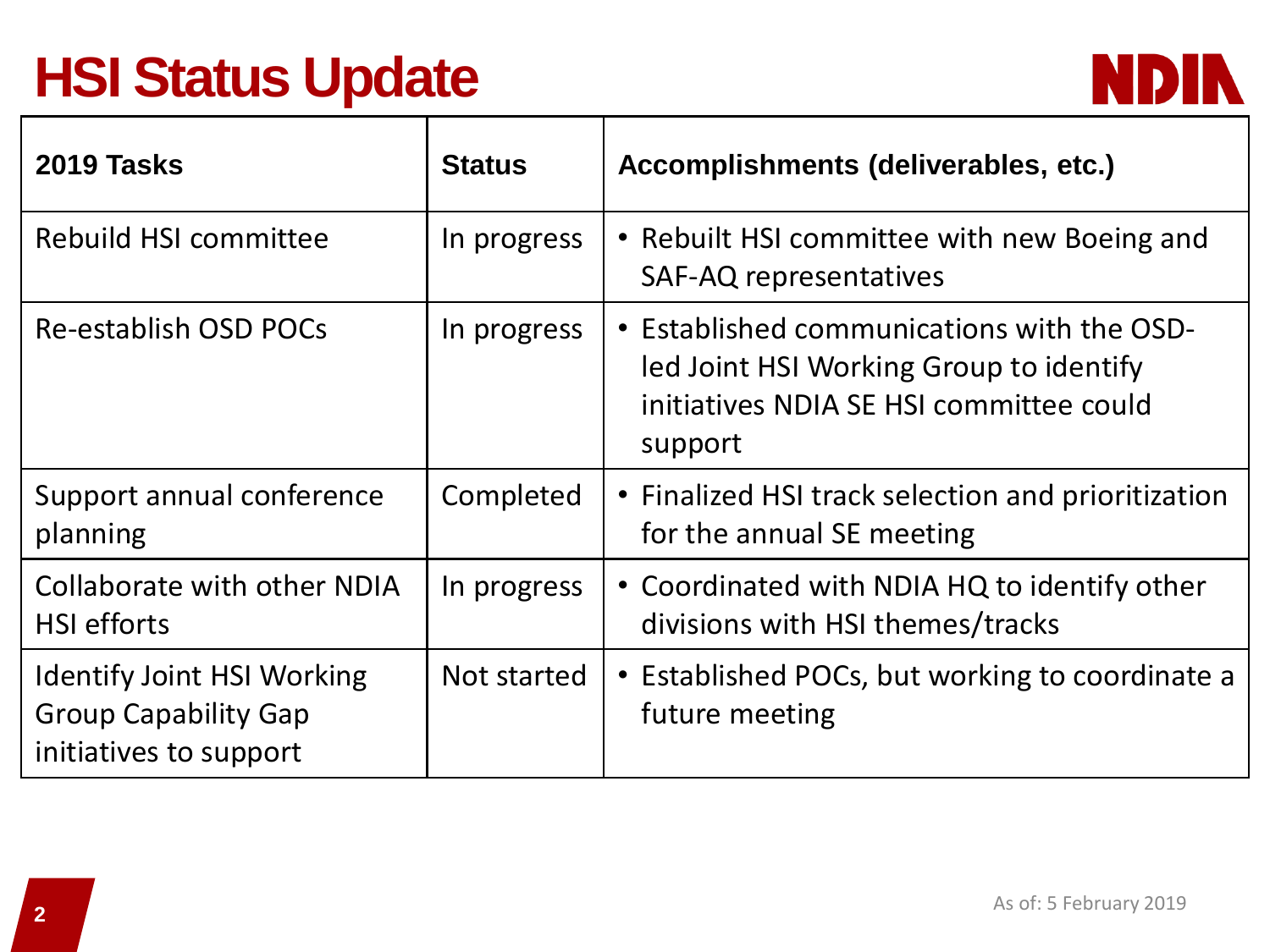## **HSI Status Update**



| 2019 Tasks                                                                                 | <b>Status</b> | Accomplishments (deliverables, etc.)                                                                                                        |
|--------------------------------------------------------------------------------------------|---------------|---------------------------------------------------------------------------------------------------------------------------------------------|
| Rebuild HSI committee                                                                      | In progress   | • Rebuilt HSI committee with new Boeing and<br>SAF-AQ representatives                                                                       |
| Re-establish OSD POCs                                                                      | In progress   | • Established communications with the OSD-<br>led Joint HSI Working Group to identify<br>initiatives NDIA SE HSI committee could<br>support |
| Support annual conference<br>planning                                                      | Completed     | • Finalized HSI track selection and prioritization<br>for the annual SE meeting                                                             |
| Collaborate with other NDIA<br><b>HSI</b> efforts                                          | In progress   | • Coordinated with NDIA HQ to identify other<br>divisions with HSI themes/tracks                                                            |
| <b>Identify Joint HSI Working</b><br><b>Group Capability Gap</b><br>initiatives to support | Not started   | • Established POCs, but working to coordinate a<br>future meeting                                                                           |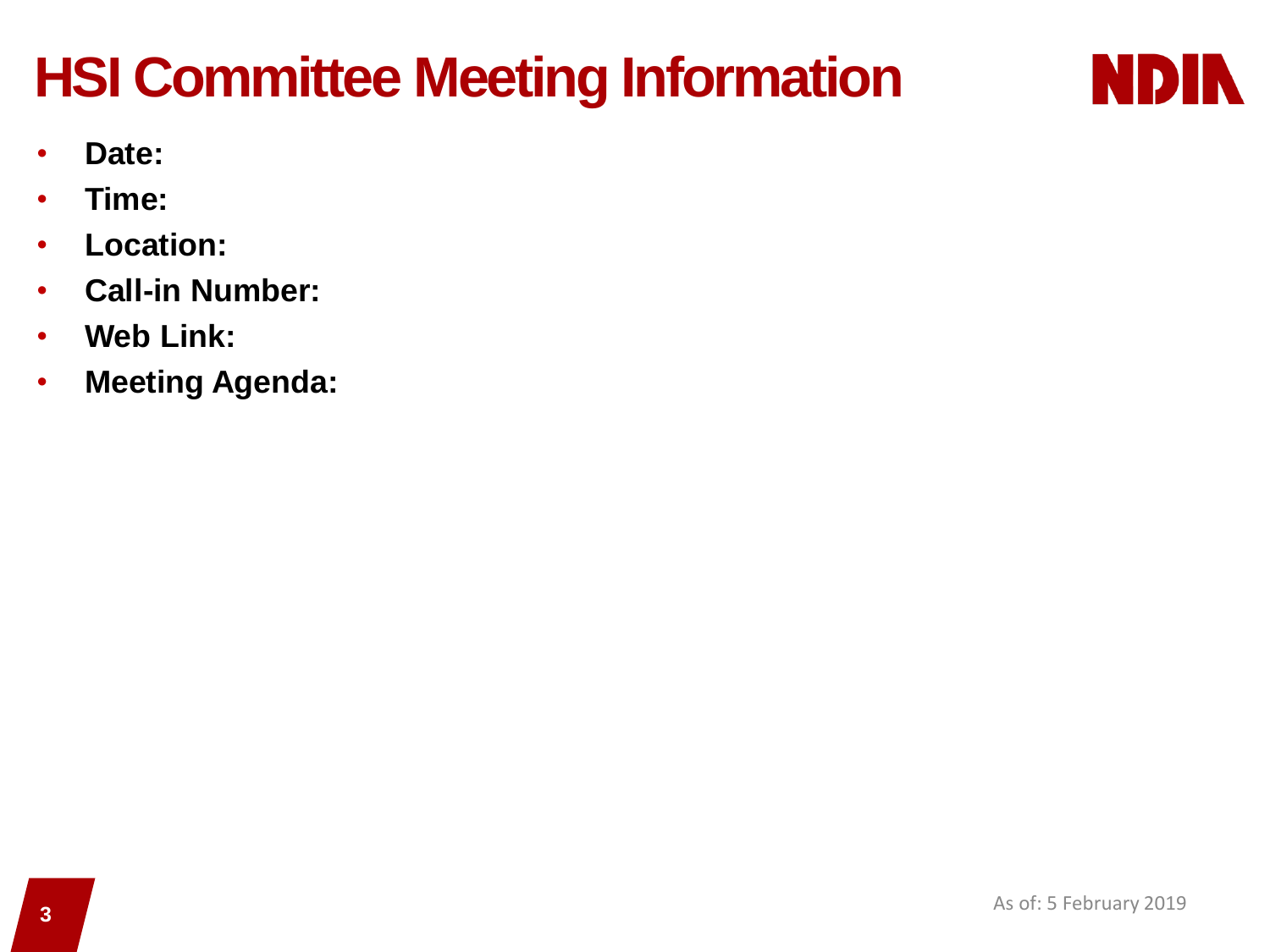# **HSI Committee Meeting Information**



- **Date:**
- **Time:**
- **Location:**
- **Call-in Number:**
- **Web Link:**
- **Meeting Agenda:**